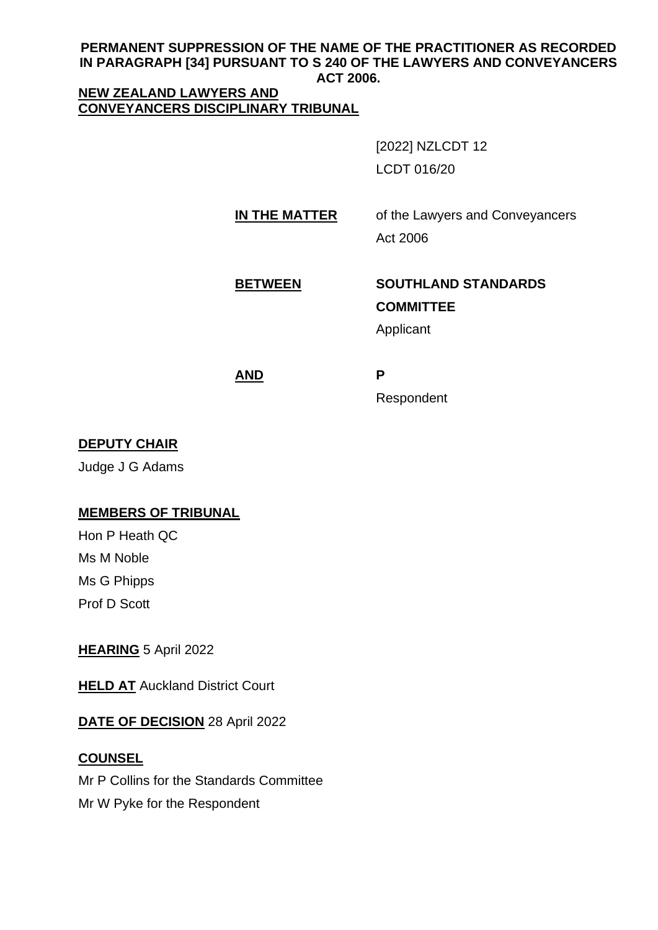#### **PERMANENT SUPPRESSION OF THE NAME OF THE PRACTITIONER AS RECORDED IN PARAGRAPH [34] PURSUANT TO S 240 OF THE LAWYERS AND CONVEYANCERS ACT 2006.**

## **NEW ZEALAND LAWYERS AND CONVEYANCERS DISCIPLINARY TRIBUNAL**

[2022] NZLCDT 12 LCDT 016/20

# **IN THE MATTER** of the Lawyers and Conveyancers

Act 2006

## **BETWEEN SOUTHLAND STANDARDS COMMITTEE**

Applicant

**AND P**

Respondent

## **DEPUTY CHAIR**

Judge J G Adams

## **MEMBERS OF TRIBUNAL**

Hon P Heath QC Ms M Noble Ms G Phipps Prof D Scott

**HEARING** 5 April 2022

**HELD AT** Auckland District Court

## **DATE OF DECISION** 28 April 2022

## **COUNSEL**

Mr P Collins for the Standards Committee Mr W Pyke for the Respondent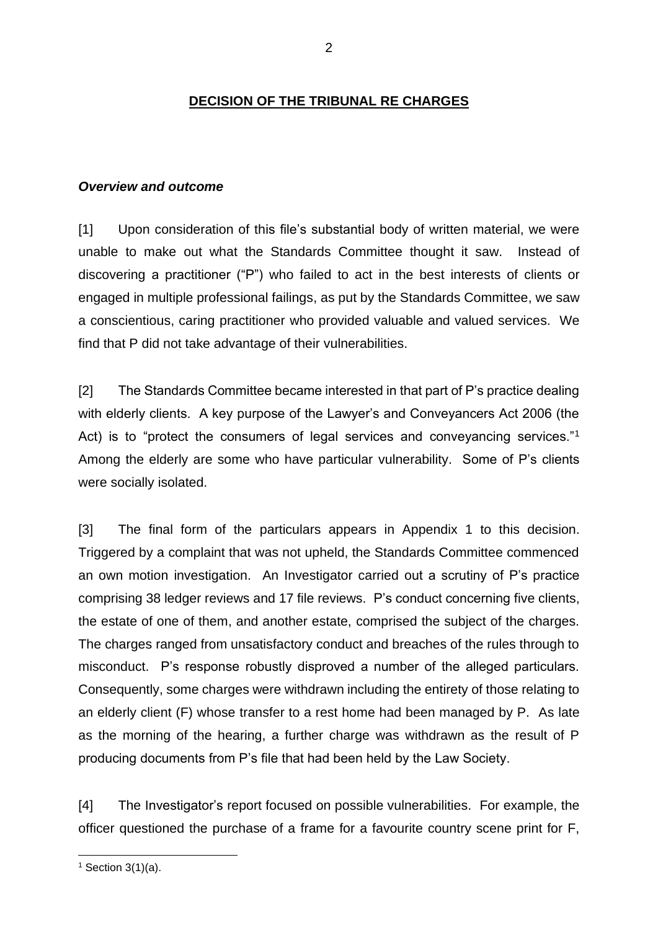## *Overview and outcome*

[1] Upon consideration of this file's substantial body of written material, we were unable to make out what the Standards Committee thought it saw. Instead of discovering a practitioner ("P") who failed to act in the best interests of clients or engaged in multiple professional failings, as put by the Standards Committee, we saw a conscientious, caring practitioner who provided valuable and valued services. We find that P did not take advantage of their vulnerabilities.

[2] The Standards Committee became interested in that part of P's practice dealing with elderly clients. A key purpose of the Lawyer's and Conveyancers Act 2006 (the Act) is to "protect the consumers of legal services and conveyancing services."<sup>1</sup> Among the elderly are some who have particular vulnerability. Some of P's clients were socially isolated.

[3] The final form of the particulars appears in Appendix 1 to this decision. Triggered by a complaint that was not upheld, the Standards Committee commenced an own motion investigation. An Investigator carried out a scrutiny of P's practice comprising 38 ledger reviews and 17 file reviews. P's conduct concerning five clients, the estate of one of them, and another estate, comprised the subject of the charges. The charges ranged from unsatisfactory conduct and breaches of the rules through to misconduct. P's response robustly disproved a number of the alleged particulars. Consequently, some charges were withdrawn including the entirety of those relating to an elderly client (F) whose transfer to a rest home had been managed by P. As late as the morning of the hearing, a further charge was withdrawn as the result of P producing documents from P's file that had been held by the Law Society.

[4] The Investigator's report focused on possible vulnerabilities. For example, the officer questioned the purchase of a frame for a favourite country scene print for F,

 $1$  Section 3(1)(a).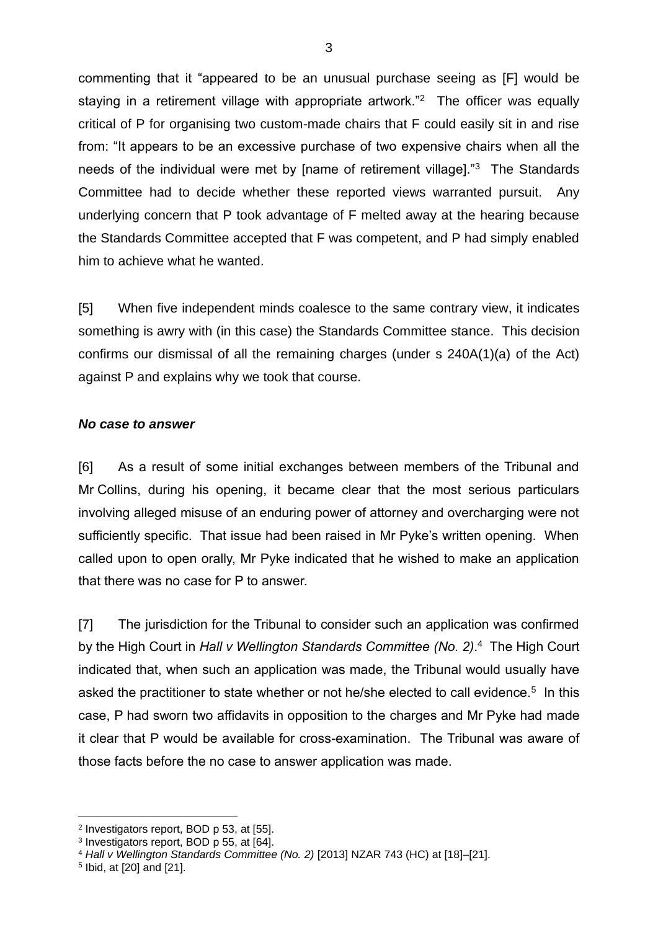commenting that it "appeared to be an unusual purchase seeing as [F] would be staying in a retirement village with appropriate artwork."<sup>2</sup> The officer was equally critical of P for organising two custom-made chairs that F could easily sit in and rise from: "It appears to be an excessive purchase of two expensive chairs when all the needs of the individual were met by [name of retirement village]."<sup>3</sup> The Standards Committee had to decide whether these reported views warranted pursuit. Any underlying concern that P took advantage of F melted away at the hearing because the Standards Committee accepted that F was competent, and P had simply enabled him to achieve what he wanted.

[5] When five independent minds coalesce to the same contrary view, it indicates something is awry with (in this case) the Standards Committee stance. This decision confirms our dismissal of all the remaining charges (under s 240A(1)(a) of the Act) against P and explains why we took that course.

#### *No case to answer*

[6] As a result of some initial exchanges between members of the Tribunal and Mr Collins, during his opening, it became clear that the most serious particulars involving alleged misuse of an enduring power of attorney and overcharging were not sufficiently specific. That issue had been raised in Mr Pyke's written opening. When called upon to open orally, Mr Pyke indicated that he wished to make an application that there was no case for P to answer.

[7] The jurisdiction for the Tribunal to consider such an application was confirmed by the High Court in *Hall v Wellington Standards Committee (No. 2)*. 4 The High Court indicated that, when such an application was made, the Tribunal would usually have asked the practitioner to state whether or not he/she elected to call evidence. $5$  In this case, P had sworn two affidavits in opposition to the charges and Mr Pyke had made it clear that P would be available for cross-examination. The Tribunal was aware of those facts before the no case to answer application was made.

<sup>2</sup> Investigators report, BOD p 53, at [55].

<sup>3</sup> Investigators report, BOD p 55, at [64].

<sup>4</sup> *Hall v Wellington Standards Committee (No. 2)* [2013] NZAR 743 (HC) at [18]–[21].

<sup>5</sup> Ibid, at [20] and [21].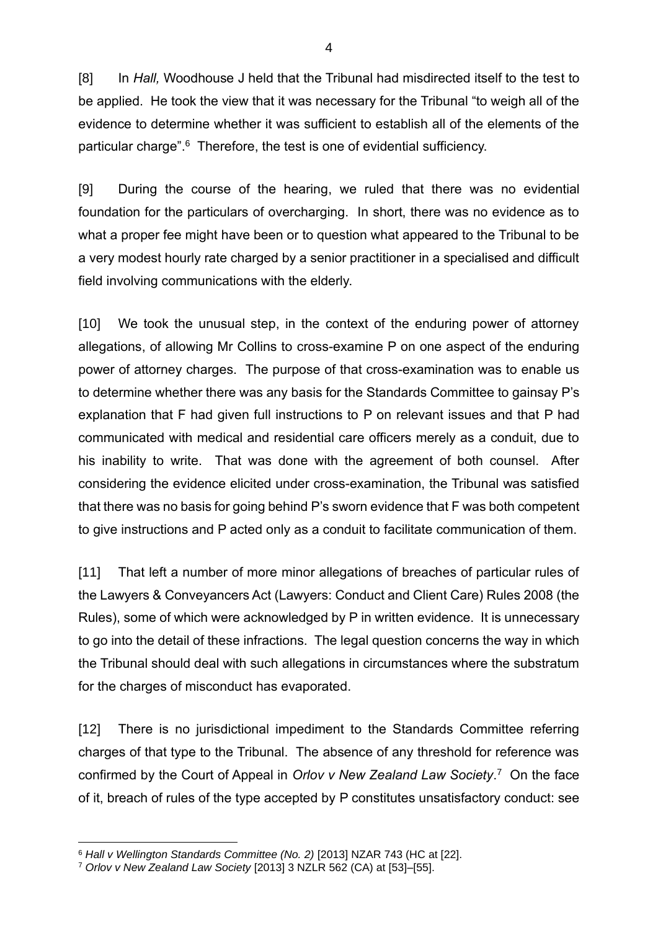[8] In *Hall,* Woodhouse J held that the Tribunal had misdirected itself to the test to be applied. He took the view that it was necessary for the Tribunal "to weigh all of the evidence to determine whether it was sufficient to establish all of the elements of the particular charge".<sup>6</sup> Therefore, the test is one of evidential sufficiency.

[9] During the course of the hearing, we ruled that there was no evidential foundation for the particulars of overcharging. In short, there was no evidence as to what a proper fee might have been or to question what appeared to the Tribunal to be a very modest hourly rate charged by a senior practitioner in a specialised and difficult field involving communications with the elderly.

[10] We took the unusual step, in the context of the enduring power of attorney allegations, of allowing Mr Collins to cross-examine P on one aspect of the enduring power of attorney charges. The purpose of that cross-examination was to enable us to determine whether there was any basis for the Standards Committee to gainsay P's explanation that F had given full instructions to P on relevant issues and that P had communicated with medical and residential care officers merely as a conduit, due to his inability to write. That was done with the agreement of both counsel. After considering the evidence elicited under cross-examination, the Tribunal was satisfied that there was no basis for going behind P's sworn evidence that F was both competent to give instructions and P acted only as a conduit to facilitate communication of them.

[11] That left a number of more minor allegations of breaches of particular rules of the Lawyers & Conveyancers Act (Lawyers: Conduct and Client Care) Rules 2008 (the Rules), some of which were acknowledged by P in written evidence. It is unnecessary to go into the detail of these infractions. The legal question concerns the way in which the Tribunal should deal with such allegations in circumstances where the substratum for the charges of misconduct has evaporated.

[12] There is no jurisdictional impediment to the Standards Committee referring charges of that type to the Tribunal. The absence of any threshold for reference was confirmed by the Court of Appeal in *Orlov v New Zealand Law Society*. 7 On the face of it, breach of rules of the type accepted by P constitutes unsatisfactory conduct: see

<sup>6</sup> *Hall v Wellington Standards Committee (No. 2)* [2013] NZAR 743 (HC at [22].

<sup>7</sup> *Orlov v New Zealand Law Society* [2013] 3 NZLR 562 (CA) at [53]–[55].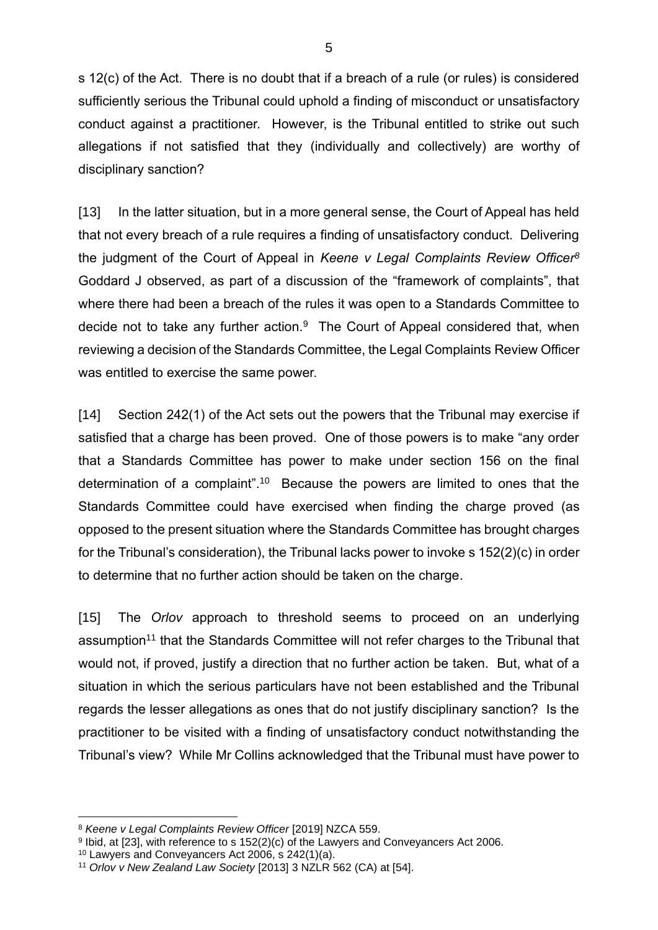s 12(c) of the Act. There is no doubt that if a breach of a rule (or rules) is considered sufficiently serious the Tribunal could uphold a finding of misconduct or unsatisfactory conduct against a practitioner. However, is the Tribunal entitled to strike out such allegations if not satisfied that they (individually and collectively) are worthy of disciplinary sanction?

[13] In the latter situation, but in a more general sense, the Court of Appeal has held that not every breach of a rule requires a finding of unsatisfactory conduct. Delivering the judgment of the Court of Appeal in *Keene v Legal Complaints Review Officer<sup>8</sup>* Goddard J observed, as part of a discussion of the "framework of complaints", that where there had been a breach of the rules it was open to a Standards Committee to decide not to take any further action.<sup>9</sup> The Court of Appeal considered that, when reviewing a decision of the Standards Committee, the Legal Complaints Review Officer was entitled to exercise the same power.

[14] Section 242(1) of the Act sets out the powers that the Tribunal may exercise if satisfied that a charge has been proved. One of those powers is to make "any order that a Standards Committee has power to make under section 156 on the final determination of a complaint".<sup>10</sup> Because the powers are limited to ones that the Standards Committee could have exercised when finding the charge proved (as opposed to the present situation where the Standards Committee has brought charges for the Tribunal's consideration), the Tribunal lacks power to invoke s 152(2)(c) in order to determine that no further action should be taken on the charge.

[15] The *Orlov* approach to threshold seems to proceed on an underlying assumption<sup>11</sup> that the Standards Committee will not refer charges to the Tribunal that would not, if proved, justify a direction that no further action be taken. But, what of a situation in which the serious particulars have not been established and the Tribunal regards the lesser allegations as ones that do not justify disciplinary sanction? Is the practitioner to be visited with a finding of unsatisfactory conduct notwithstanding the Tribunal's view? While Mr Collins acknowledged that the Tribunal must have power to

<sup>8</sup> *Keene v Legal Complaints Review Officer* [2019] NZCA 559.

 $^9$  lbid, at [23], with reference to s 152(2)(c) of the Lawyers and Conveyancers Act 2006.

<sup>10</sup> Lawyers and Conveyancers Act 2006, s 242(1)(a).

<sup>11</sup> *Orlov v New Zealand Law Society* [2013] 3 NZLR 562 (CA) at [54].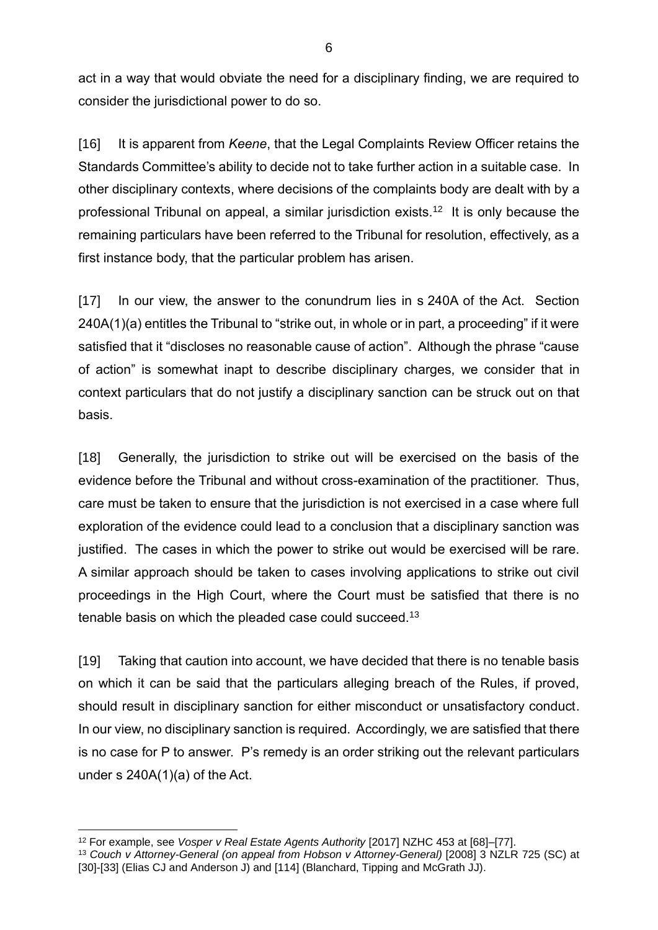act in a way that would obviate the need for a disciplinary finding, we are required to consider the jurisdictional power to do so.

[16] It is apparent from *Keene*, that the Legal Complaints Review Officer retains the Standards Committee's ability to decide not to take further action in a suitable case. In other disciplinary contexts, where decisions of the complaints body are dealt with by a professional Tribunal on appeal, a similar jurisdiction exists.<sup>12</sup> It is only because the remaining particulars have been referred to the Tribunal for resolution, effectively, as a first instance body, that the particular problem has arisen.

[17] In our view, the answer to the conundrum lies in s 240A of the Act. Section 240A(1)(a) entitles the Tribunal to "strike out, in whole or in part, a proceeding" if it were satisfied that it "discloses no reasonable cause of action". Although the phrase "cause of action" is somewhat inapt to describe disciplinary charges, we consider that in context particulars that do not justify a disciplinary sanction can be struck out on that basis.

[18] Generally, the jurisdiction to strike out will be exercised on the basis of the evidence before the Tribunal and without cross-examination of the practitioner. Thus, care must be taken to ensure that the jurisdiction is not exercised in a case where full exploration of the evidence could lead to a conclusion that a disciplinary sanction was justified. The cases in which the power to strike out would be exercised will be rare. A similar approach should be taken to cases involving applications to strike out civil proceedings in the High Court, where the Court must be satisfied that there is no tenable basis on which the pleaded case could succeed.<sup>13</sup>

[19] Taking that caution into account, we have decided that there is no tenable basis on which it can be said that the particulars alleging breach of the Rules, if proved, should result in disciplinary sanction for either misconduct or unsatisfactory conduct. In our view, no disciplinary sanction is required. Accordingly, we are satisfied that there is no case for P to answer. P's remedy is an order striking out the relevant particulars under s 240A(1)(a) of the Act.

<sup>12</sup> For example, see *Vosper v Real Estate Agents Authority* [2017] NZHC 453 at [68]–[77].

<sup>13</sup> *Couch v Attorney-General (on appeal from Hobson v [Attorney-General\)](https://advance.lexis.com/api/document/collection/cases-nz/id/5B04-HR01-JF1Y-B06C-00000-00?cite=Couch%20v%20Attorney-General%20(on%C2%A0appeal%20from%20Hobson%20v%20Attorney-General)%20%5B2008%5D%203%20NZLR%20725&context=1230042&icsfeatureid=1517128)* [2008] 3 NZLR 725 (SC) at [30]-[33] (Elias CJ and Anderson J) and [114] (Blanchard, Tipping and McGrath JJ).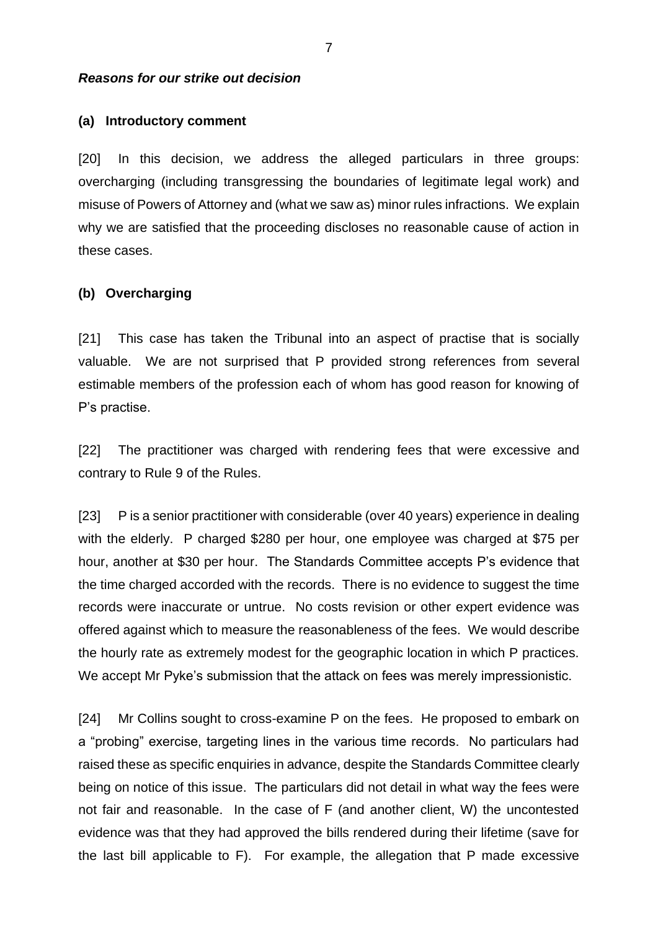#### *Reasons for our strike out decision*

#### **(a) Introductory comment**

[20] In this decision, we address the alleged particulars in three groups: overcharging (including transgressing the boundaries of legitimate legal work) and misuse of Powers of Attorney and (what we saw as) minor rules infractions. We explain why we are satisfied that the proceeding discloses no reasonable cause of action in these cases.

#### **(b) Overcharging**

[21] This case has taken the Tribunal into an aspect of practise that is socially valuable. We are not surprised that P provided strong references from several estimable members of the profession each of whom has good reason for knowing of P's practise.

[22] The practitioner was charged with rendering fees that were excessive and contrary to Rule 9 of the Rules.

[23] P is a senior practitioner with considerable (over 40 years) experience in dealing with the elderly. P charged \$280 per hour, one employee was charged at \$75 per hour, another at \$30 per hour. The Standards Committee accepts P's evidence that the time charged accorded with the records. There is no evidence to suggest the time records were inaccurate or untrue. No costs revision or other expert evidence was offered against which to measure the reasonableness of the fees. We would describe the hourly rate as extremely modest for the geographic location in which P practices. We accept Mr Pyke's submission that the attack on fees was merely impressionistic.

[24] Mr Collins sought to cross-examine P on the fees. He proposed to embark on a "probing" exercise, targeting lines in the various time records. No particulars had raised these as specific enquiries in advance, despite the Standards Committee clearly being on notice of this issue. The particulars did not detail in what way the fees were not fair and reasonable. In the case of F (and another client, W) the uncontested evidence was that they had approved the bills rendered during their lifetime (save for the last bill applicable to F). For example, the allegation that P made excessive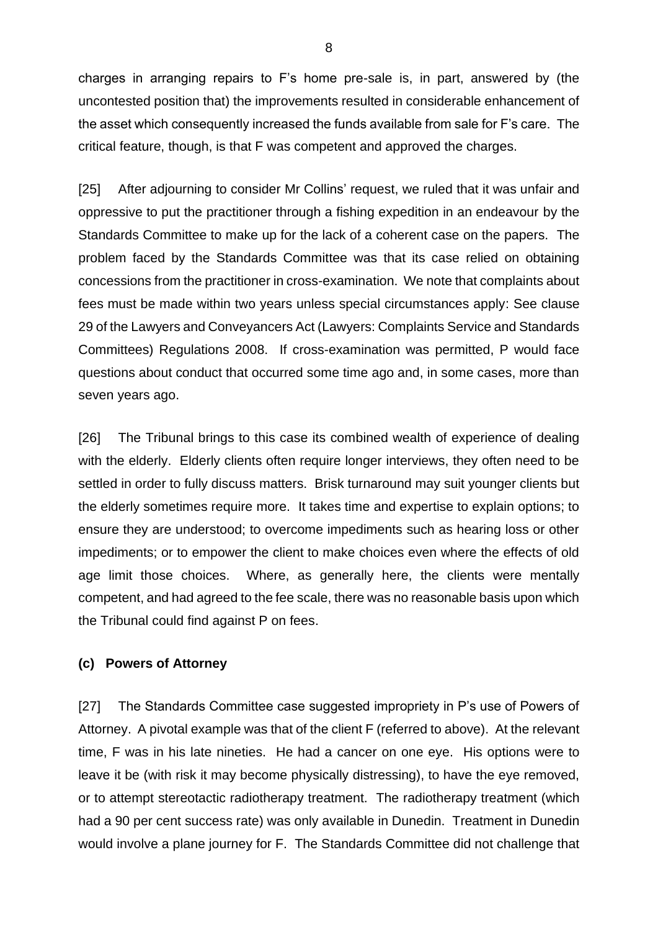charges in arranging repairs to F's home pre-sale is, in part, answered by (the uncontested position that) the improvements resulted in considerable enhancement of the asset which consequently increased the funds available from sale for F's care. The critical feature, though, is that F was competent and approved the charges.

[25] After adjourning to consider Mr Collins' request, we ruled that it was unfair and oppressive to put the practitioner through a fishing expedition in an endeavour by the Standards Committee to make up for the lack of a coherent case on the papers. The problem faced by the Standards Committee was that its case relied on obtaining concessions from the practitioner in cross-examination. We note that complaints about fees must be made within two years unless special circumstances apply: See clause 29 of the Lawyers and Conveyancers Act (Lawyers: Complaints Service and Standards Committees) Regulations 2008. If cross-examination was permitted, P would face questions about conduct that occurred some time ago and, in some cases, more than seven years ago.

[26] The Tribunal brings to this case its combined wealth of experience of dealing with the elderly. Elderly clients often require longer interviews, they often need to be settled in order to fully discuss matters. Brisk turnaround may suit younger clients but the elderly sometimes require more. It takes time and expertise to explain options; to ensure they are understood; to overcome impediments such as hearing loss or other impediments; or to empower the client to make choices even where the effects of old age limit those choices. Where, as generally here, the clients were mentally competent, and had agreed to the fee scale, there was no reasonable basis upon which the Tribunal could find against P on fees.

## **(c) Powers of Attorney**

[27] The Standards Committee case suggested impropriety in P's use of Powers of Attorney. A pivotal example was that of the client F (referred to above). At the relevant time, F was in his late nineties. He had a cancer on one eye. His options were to leave it be (with risk it may become physically distressing), to have the eye removed, or to attempt stereotactic radiotherapy treatment. The radiotherapy treatment (which had a 90 per cent success rate) was only available in Dunedin. Treatment in Dunedin would involve a plane journey for F. The Standards Committee did not challenge that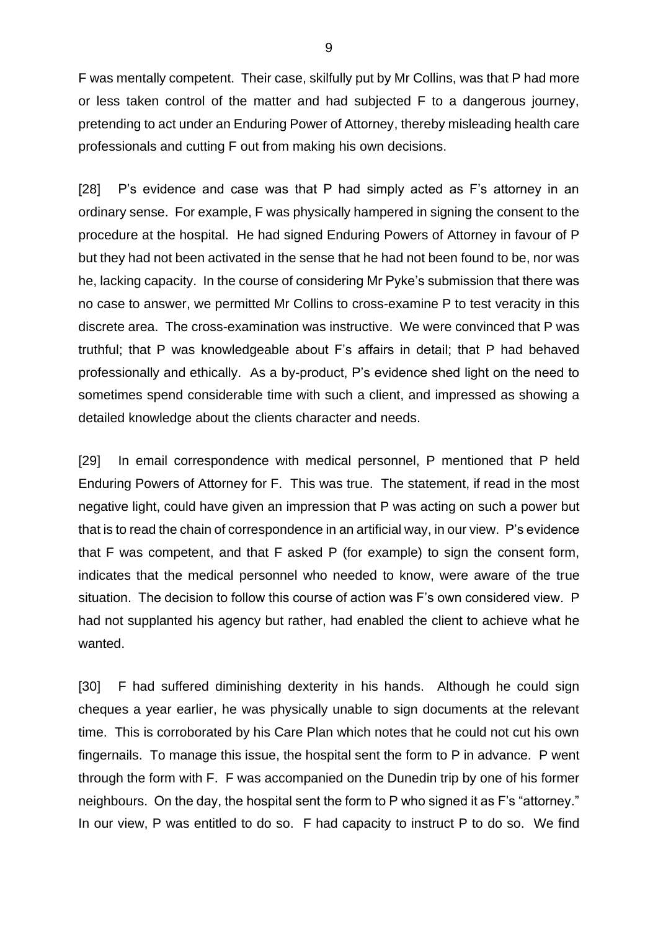F was mentally competent. Their case, skilfully put by Mr Collins, was that P had more or less taken control of the matter and had subjected F to a dangerous journey, pretending to act under an Enduring Power of Attorney, thereby misleading health care professionals and cutting F out from making his own decisions.

[28] P's evidence and case was that P had simply acted as F's attorney in an ordinary sense. For example, F was physically hampered in signing the consent to the procedure at the hospital. He had signed Enduring Powers of Attorney in favour of P but they had not been activated in the sense that he had not been found to be, nor was he, lacking capacity. In the course of considering Mr Pyke's submission that there was no case to answer, we permitted Mr Collins to cross-examine P to test veracity in this discrete area. The cross-examination was instructive. We were convinced that P was truthful; that P was knowledgeable about F's affairs in detail; that P had behaved professionally and ethically. As a by-product, P's evidence shed light on the need to sometimes spend considerable time with such a client, and impressed as showing a detailed knowledge about the clients character and needs.

[29] In email correspondence with medical personnel, P mentioned that P held Enduring Powers of Attorney for F. This was true. The statement, if read in the most negative light, could have given an impression that P was acting on such a power but that is to read the chain of correspondence in an artificial way, in our view. P's evidence that F was competent, and that F asked P (for example) to sign the consent form, indicates that the medical personnel who needed to know, were aware of the true situation. The decision to follow this course of action was F's own considered view. P had not supplanted his agency but rather, had enabled the client to achieve what he wanted.

[30] F had suffered diminishing dexterity in his hands. Although he could sign cheques a year earlier, he was physically unable to sign documents at the relevant time. This is corroborated by his Care Plan which notes that he could not cut his own fingernails. To manage this issue, the hospital sent the form to P in advance. P went through the form with F. F was accompanied on the Dunedin trip by one of his former neighbours. On the day, the hospital sent the form to P who signed it as F's "attorney." In our view, P was entitled to do so. F had capacity to instruct P to do so. We find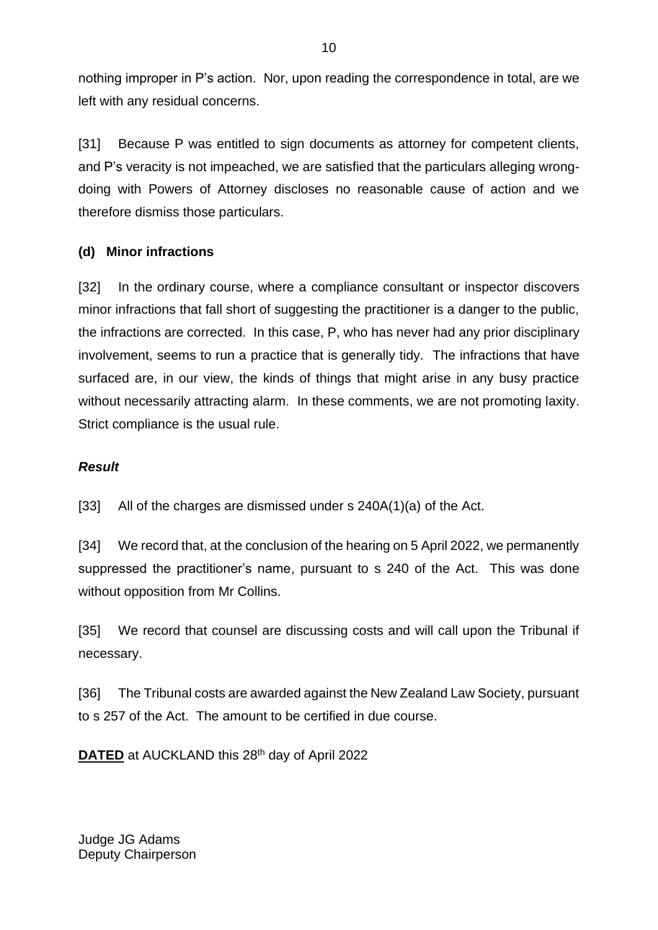nothing improper in P's action. Nor, upon reading the correspondence in total, are we left with any residual concerns.

[31] Because P was entitled to sign documents as attorney for competent clients, and P's veracity is not impeached, we are satisfied that the particulars alleging wrongdoing with Powers of Attorney discloses no reasonable cause of action and we therefore dismiss those particulars.

## **(d) Minor infractions**

[32] In the ordinary course, where a compliance consultant or inspector discovers minor infractions that fall short of suggesting the practitioner is a danger to the public, the infractions are corrected. In this case, P, who has never had any prior disciplinary involvement, seems to run a practice that is generally tidy. The infractions that have surfaced are, in our view, the kinds of things that might arise in any busy practice without necessarily attracting alarm. In these comments, we are not promoting laxity. Strict compliance is the usual rule.

## *Result*

[33] All of the charges are dismissed under s 240A(1)(a) of the Act.

[34] We record that, at the conclusion of the hearing on 5 April 2022, we permanently suppressed the practitioner's name, pursuant to s 240 of the Act. This was done without opposition from Mr Collins.

[35] We record that counsel are discussing costs and will call upon the Tribunal if necessary.

[36] The Tribunal costs are awarded against the New Zealand Law Society, pursuant to s 257 of the Act. The amount to be certified in due course.

**DATED** at AUCKLAND this 28<sup>th</sup> day of April 2022

Judge JG Adams Deputy Chairperson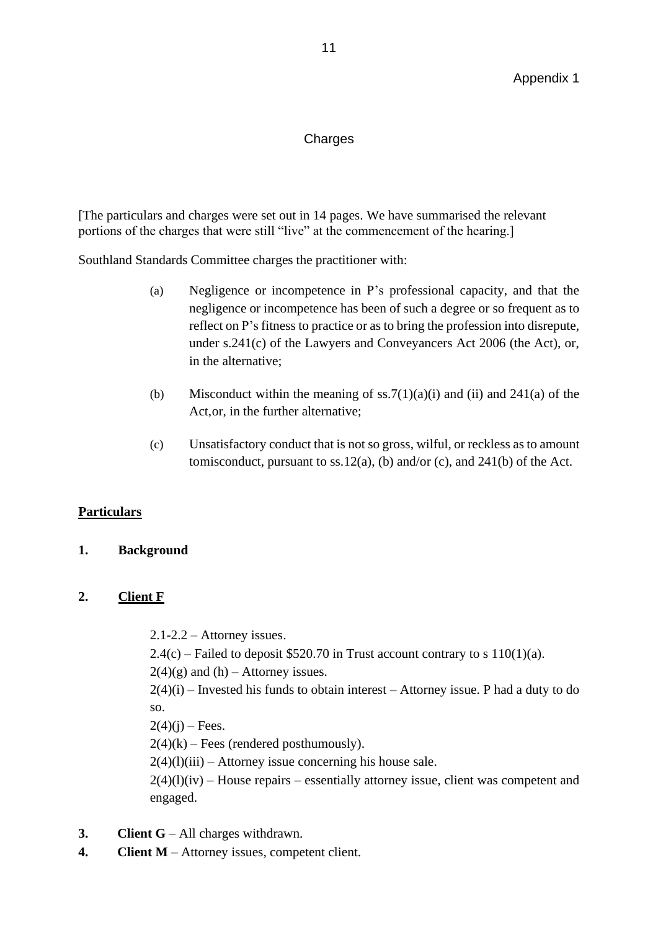## Charges

[The particulars and charges were set out in 14 pages. We have summarised the relevant portions of the charges that were still "live" at the commencement of the hearing.]

Southland Standards Committee charges the practitioner with:

- (a) Negligence or incompetence in P's professional capacity, and that the negligence or incompetence has been of such a degree or so frequent as to reflect on P's fitness to practice or as to bring the profession into disrepute, under s.241(c) of the Lawyers and Conveyancers Act 2006 (the Act), or, in the alternative;
- (b) Misconduct within the meaning of ss.  $7(1)(a)(i)$  and (ii) and 241(a) of the Act,or, in the further alternative;
- (c) Unsatisfactory conduct that is not so gross, wilful, or reckless as to amount tomisconduct, pursuant to ss.12(a), (b) and/or (c), and 241(b) of the Act.

## **Particulars**

#### **1. Background**

#### **2. Client F**

2.1-2.2 – Attorney issues.

 $2.4(c)$  – Failed to deposit \$520.70 in Trust account contrary to s 110(1)(a).

 $2(4)(g)$  and (h) – Attorney issues.

 $2(4)(i)$  – Invested his funds to obtain interest – Attorney issue. P had a duty to do so.

 $2(4)(i)$  – Fees.

 $2(4)(k)$  – Fees (rendered posthumously).

 $2(4)(1)(iii)$  – Attorney issue concerning his house sale.

 $2(4)(1)(iv)$  – House repairs – essentially attorney issue, client was competent and engaged.

- **3. Client G**  All charges withdrawn.
- **4. Client M** Attorney issues, competent client.